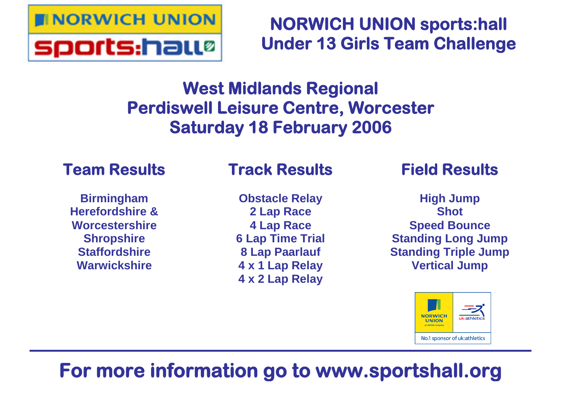

# **NORWICH UNION sports:hall Under 13 Girls Team Challenge**

# **West Midlands Regional Perdiswell Leisure Centre, Worcester Saturday 18 February 2006**

## **Team Results**

**Birmingham Herefordshire & Worcestershire Shropshire Staffordshire Warwickshire**

# **Track Results**

**Obstacle Relay 2 Lap Race 4 Lap Race 6 Lap Time Trial 8 Lap Paarlauf 4 x 1 Lap Relay 4 x 2 Lap Relay**

## **Field Results**

**High Jump Shot Speed Bounce Standing Long Jump Standing Triple Jump Vertical Jump**



# **For more information go to www.sportshall.org**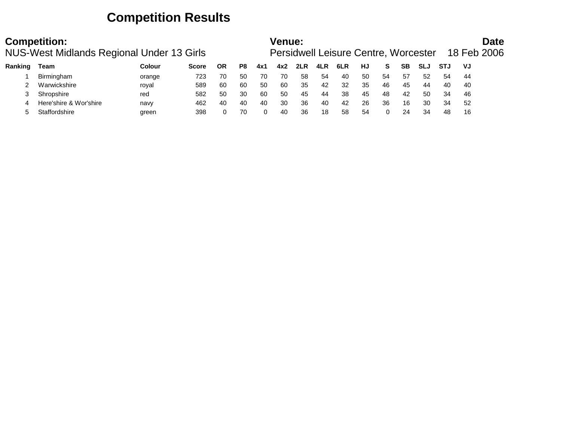## **Competition Results**

|         | <b>Competition:</b><br>NUS-West Midlands Regional Under 13 Girls |        |              |           |    |     | Venue: |     |     | Persidwell Leisure Centre, Worcester |    |     |    |            |            |     | <b>Date</b><br>18 Feb 2006 |
|---------|------------------------------------------------------------------|--------|--------------|-----------|----|-----|--------|-----|-----|--------------------------------------|----|-----|----|------------|------------|-----|----------------------------|
| Ranking | Team                                                             | Colour | <b>Score</b> | <b>OR</b> | P8 | 4x1 | 4x2    | 2LR | 4LR | 6LR                                  | HJ | S.  | SВ | <b>SLJ</b> | <b>STJ</b> | VJ  |                            |
|         | Birmingham                                                       | orange | 723          | 70        | 50 | 70  | 70     | 58  | 54  | 40                                   | 50 | -54 | 57 | 52         | 54         | 44  |                            |
|         | Warwickshire                                                     | royal  | 589          | 60        | 60 | 50  | 60     | 35  | 42  | 32                                   | 35 | 46  | 45 | 44         | 40         | 40  |                            |
|         | Shropshire                                                       | red    | 582          | 50        | 30 | 60  | 50     | 45  | 44  | 38                                   | 45 | 48  | 42 | 50         | 34         | 46  |                            |
|         | Here'shire & Wor'shire                                           | navy   | 462          | 40        | 40 | 40  | 30     | 36  | 40  | 42                                   | 26 | 36  | 16 | 30         | 34         | -52 |                            |
|         | Staffordshire                                                    | green  | 398          |           | 70 |     | 40     | 36  | 18  | 58                                   | 54 |     | 24 | 34         | 48         | 16  |                            |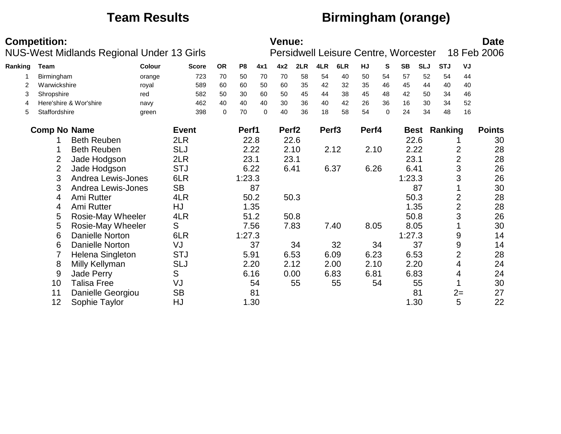## **Team Results Birmingham (orange)**

|         | <b>Competition:</b> | NUS-West Midlands Regional Under 13 Girls |                 |              |             |                |             | <b>Venue:</b>     |      |                   | Persidwell Leisure Centre, Worcester |           |          |           |            |                     |                | <b>Date</b><br>18 Feb 2006 |
|---------|---------------------|-------------------------------------------|-----------------|--------------|-------------|----------------|-------------|-------------------|------|-------------------|--------------------------------------|-----------|----------|-----------|------------|---------------------|----------------|----------------------------|
| Ranking | <b>Team</b>         |                                           | <b>Colour</b>   | <b>Score</b> | <b>OR</b>   | P <sub>8</sub> | 4x1         | 4x2               | 2LR  | 4LR               | 6LR                                  | <b>HJ</b> | S.       | <b>SB</b> | <b>SLJ</b> | <b>STJ</b>          | VJ             |                            |
|         | Birmingham          |                                           |                 | 723          | 70          | 50             | 70          | 70                | 58   | 54                | 40                                   | 50        | 54       | 57        | 52         | 54                  | 44             |                            |
| 2       | Warwickshire        |                                           | orange<br>royal | 589          | 60          | 60             | 50          | 60                | 35   | 42                | 32                                   | 35        | 46       | 45        | 44         | 40                  | 40             |                            |
| 3       | Shropshire          |                                           | red             | 582          | 50          | 30             | 60          | 50                | 45   | 44                | 38                                   | 45        | 48       | 42        | 50         | 34                  | 46             |                            |
| 4       |                     | Here'shire & Wor'shire                    | navy            | 462          | 40          | 40             | 40          | 30                | 36   | 40                | 42                                   | 26        | 36       | 16        | 30         | 34                  | 52             |                            |
| 5       | Staffordshire       |                                           | green           | 398          | $\mathbf 0$ | 70             | $\mathbf 0$ | 40                | 36   | 18                | 58                                   | 54        | $\Omega$ | 24        | 34         | 48                  | 16             |                            |
|         | <b>Comp No Name</b> |                                           |                 | <b>Event</b> |             | Perf1          |             | Perf <sub>2</sub> |      | Perf <sub>3</sub> |                                      | Perf4     |          |           |            | <b>Best Ranking</b> |                | <b>Points</b>              |
|         |                     | <b>Beth Reuben</b>                        |                 | 2LR          |             |                | 22.8        |                   | 22.6 |                   |                                      |           |          |           | 22.6       |                     |                | 30                         |
|         |                     | <b>Beth Reuben</b>                        |                 | <b>SLJ</b>   |             |                | 2.22        |                   | 2.10 |                   | 2.12                                 | 2.10      |          |           | 2.22       |                     | 2              | 28                         |
|         | 2                   | Jade Hodgson                              |                 | 2LR          |             | 23.1           |             | 23.1              |      |                   |                                      |           |          | 23.1      |            |                     | $\overline{2}$ | 28                         |
|         | $\overline{2}$      | Jade Hodgson                              |                 | <b>STJ</b>   |             | 6.22           |             |                   | 6.41 |                   | 6.37                                 | 6.26      |          | 6.41      |            |                     | 3              | 26                         |
|         | 3                   | Andrea Lewis-Jones                        |                 | 6LR          |             | 1:23.3         |             |                   |      |                   |                                      |           |          | 1:23.3    |            |                     | 3              | 26                         |
|         | 3                   | Andrea Lewis-Jones                        |                 | <b>SB</b>    |             |                | 87          |                   |      |                   |                                      |           |          |           | 87         |                     |                | 30                         |
|         | 4                   | Ami Rutter                                |                 | 4LR          |             |                | 50.2        |                   | 50.3 |                   |                                      |           |          |           | 50.3       |                     | $\overline{2}$ | 28                         |
|         | 4                   | Ami Rutter                                |                 | HJ           |             |                | 1.35        |                   |      |                   |                                      |           |          |           | 1.35       |                     | $\overline{2}$ | 28                         |
|         | 5                   | Rosie-May Wheeler                         |                 | 4LR          |             |                | 51.2        |                   | 50.8 |                   |                                      |           |          |           | 50.8       |                     | 3              | 26                         |
|         | 5                   | Rosie-May Wheeler                         |                 | S            |             |                | 7.56        |                   | 7.83 |                   | 7.40                                 | 8.05      |          |           | 8.05       |                     |                | 30                         |
|         | 6                   | <b>Danielle Norton</b>                    |                 | 6LR          |             | 1:27.3         |             |                   |      |                   |                                      |           |          | 1:27.3    |            |                     | 9              | 14                         |
|         | 6                   | Danielle Norton                           |                 | VJ           |             |                | 37          |                   | 34   |                   | 32                                   |           | 34       |           | 37         |                     | 9              | 14                         |
|         |                     | Helena Singleton                          |                 | <b>STJ</b>   |             | 5.91           |             |                   | 6.53 |                   | 6.09                                 | 6.23      |          |           | 6.53       |                     | $\overline{2}$ | 28                         |
|         | 8                   | Milly Kellyman                            |                 | <b>SLJ</b>   |             |                | 2.20        |                   | 2.12 |                   | 2.00                                 | 2.10      |          |           | 2.20       |                     | 4              | 24                         |
|         | 9                   | Jade Perry                                |                 | S            |             |                | 6.16        |                   | 0.00 |                   | 6.83                                 | 6.81      |          |           | 6.83       |                     | 4              | 24                         |
|         | 10                  | <b>Talisa Free</b>                        |                 | VJ           |             |                | 54          |                   | 55   |                   | 55                                   |           | 54       |           | 55         |                     |                | 30                         |
|         | 11                  | Danielle Georgiou                         |                 | <b>SB</b>    |             |                | 81          |                   |      |                   |                                      |           |          |           | 81         |                     | $2=$           | 27                         |
|         | 12                  | Sophie Taylor                             |                 | HJ           |             |                | 1.30        |                   |      |                   |                                      |           |          |           | 1.30       |                     | 5              | 22                         |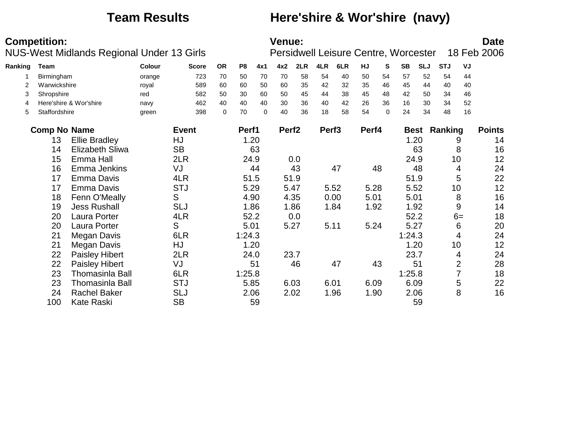## **Team Results Here'shire & Wor'shire (navy)**

|         | <b>Competition:</b> |                                           |        |              |             |        |          | Venue:            |      |                   |      |       |          |                                      |            |                     |                | <b>Date</b>   |
|---------|---------------------|-------------------------------------------|--------|--------------|-------------|--------|----------|-------------------|------|-------------------|------|-------|----------|--------------------------------------|------------|---------------------|----------------|---------------|
|         |                     | NUS-West Midlands Regional Under 13 Girls |        |              |             |        |          |                   |      |                   |      |       |          | Persidwell Leisure Centre, Worcester |            |                     |                | 18 Feb 2006   |
| Ranking | Team                |                                           | Colour | <b>Score</b> | <b>OR</b>   | P8     | 4x1      | 4x2               | 2LR  | 4LR               | 6LR  | HJ    | S        | <b>SB</b>                            | <b>SLJ</b> | <b>STJ</b>          | VJ             |               |
|         | Birmingham          |                                           | orange | 723          | 70          | 50     | 70       | 70                | 58   | 54                | 40   | 50    | 54       | 57                                   | 52         | 54                  | 44             |               |
| 2       | Warwickshire        |                                           | royal  | 589          | 60          | 60     | 50       | 60                | 35   | 42                | 32   | 35    | 46       | 45                                   | 44         | 40                  | 40             |               |
| 3       | Shropshire          |                                           | red    | 582          | 50          | 30     | 60       | 50                | 45   | 44                | 38   | 45    | 48       | 42                                   | 50         | 34                  | 46             |               |
| 4       |                     | Here'shire & Wor'shire                    | navy   | 462          | 40          | 40     | 40       | 30                | 36   | 40                | 42   | 26    | 36       | 16                                   | 30         | 34                  | 52             |               |
| 5       | Staffordshire       |                                           | green  | 398          | $\mathbf 0$ | 70     | $\Omega$ | 40                | 36   | 18                | 58   | 54    | $\Omega$ | 24                                   | 34         | 48                  | 16             |               |
|         | <b>Comp No Name</b> |                                           |        | <b>Event</b> |             | Perf1  |          | Perf <sub>2</sub> |      | Perf <sub>3</sub> |      | Perf4 |          |                                      |            | <b>Best Ranking</b> |                | <b>Points</b> |
|         | 13                  | <b>Ellie Bradley</b>                      |        | HJ           |             |        | 1.20     |                   |      |                   |      |       |          |                                      | 1.20       |                     | 9              | 14            |
|         | 14                  | <b>Elizabeth Sliwa</b>                    |        | <b>SB</b>    |             |        | 63       |                   |      |                   |      |       |          |                                      | 63         |                     | 8              | 16            |
|         | 15                  | Emma Hall                                 |        | 2LR          |             |        | 24.9     |                   | 0.0  |                   |      |       |          |                                      | 24.9       |                     | 10             | 12            |
|         | 16                  | Emma Jenkins                              |        | VJ           |             |        | 44       |                   | 43   |                   | 47   |       | 48       |                                      | 48         |                     | 4              | 24            |
|         | 17                  | Emma Davis                                |        | 4LR          |             |        | 51.5     |                   | 51.9 |                   |      |       |          |                                      | 51.9       |                     | 5              | 22            |
|         | 17                  | <b>Emma Davis</b>                         |        | <b>STJ</b>   |             |        | 5.29     |                   | 5.47 |                   | 5.52 | 5.28  |          |                                      | 5.52       |                     | 10             | 12            |
|         | 18                  | Fenn O'Meally                             |        | S            |             |        | 4.90     |                   | 4.35 |                   | 0.00 | 5.01  |          | 5.01                                 |            |                     | 8              | 16            |
|         | 19                  | <b>Jess Rushall</b>                       |        | <b>SLJ</b>   |             |        | 1.86     |                   | 1.86 |                   | 1.84 | 1.92  |          |                                      | 1.92       |                     | 9              | 14            |
|         | 20                  | Laura Porter                              |        | 4LR          |             |        | 52.2     |                   | 0.0  |                   |      |       |          |                                      | 52.2       |                     | $6=$           | 18            |
|         | 20                  | Laura Porter                              |        | S            |             | 5.01   |          |                   | 5.27 |                   | 5.11 | 5.24  |          | 5.27                                 |            |                     | 6              | 20            |
|         | 21                  | Megan Davis                               |        | 6LR          |             | 1:24.3 |          |                   |      |                   |      |       |          | 1:24.3                               |            |                     | 4              | 24            |
|         | 21                  | Megan Davis                               |        | HJ           |             |        | 1.20     |                   |      |                   |      |       |          |                                      | 1.20       |                     | 10             | 12            |
|         | 22                  | <b>Paisley Hibert</b>                     |        | 2LR          |             |        | 24.0     |                   | 23.7 |                   |      |       |          | 23.7                                 |            |                     | 4              | 24            |
|         | 22                  | <b>Paisley Hibert</b>                     |        | VJ           |             |        | 51       |                   | 46   |                   | 47   |       | 43       |                                      | 51         |                     | $\overline{2}$ | 28            |
|         | 23                  | <b>Thomasinla Ball</b>                    |        | 6LR          |             | 1:25.8 |          |                   |      |                   |      |       |          | 1:25.8                               |            |                     | 7              | 18            |
|         | 23                  | <b>Thomasinla Ball</b>                    |        | <b>STJ</b>   |             |        | 5.85     |                   | 6.03 |                   | 6.01 | 6.09  |          | 6.09                                 |            |                     | 5              | 22            |
|         | 24                  | <b>Rachel Baker</b>                       |        | <b>SLJ</b>   |             |        | 2.06     |                   | 2.02 |                   | 1.96 | 1.90  |          |                                      | 2.06       |                     | 8              | 16            |
|         | 100                 | <b>Kate Raski</b>                         |        | <b>SB</b>    |             |        | 59       |                   |      |                   |      |       |          |                                      | 59         |                     |                |               |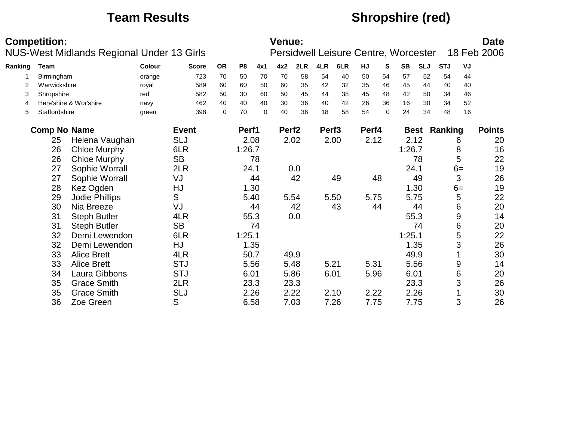## **Team Results Shropshire (red)**

|         | <b>Competition:</b> |                                           |        |              |           |                |          | <b>Venue:</b>     |      |                   |      |       |          | Persidwell Leisure Centre, Worcester |            |                     |                  | <b>Date</b><br>18 Feb 2006 |
|---------|---------------------|-------------------------------------------|--------|--------------|-----------|----------------|----------|-------------------|------|-------------------|------|-------|----------|--------------------------------------|------------|---------------------|------------------|----------------------------|
|         |                     | NUS-West Midlands Regional Under 13 Girls |        |              |           |                |          |                   |      |                   |      |       |          |                                      |            |                     |                  |                            |
| Ranking | <b>Team</b>         |                                           | Colour | <b>Score</b> | <b>OR</b> | P <sub>8</sub> | 4x1      | 4x2               | 2LR  | 4LR               | 6LR  | HJ    | S        | <b>SB</b>                            | <b>SLJ</b> | <b>STJ</b>          | VJ               |                            |
|         | Birmingham          |                                           | orange | 723          | 70        | 50             | 70       | 70                | 58   | 54                | 40   | 50    | 54       | 57                                   | 52         | 54                  | 44               |                            |
| 2       | Warwickshire        |                                           | royal  | 589          | 60        | 60             | 50       | 60                | 35   | 42                | 32   | 35    | 46       | 45                                   | 44         | 40                  | 40               |                            |
| 3       | Shropshire          |                                           | red    | 582          | 50        | 30             | 60       | 50                | 45   | 44                | 38   | 45    | 48       | 42                                   | 50         | 34                  | 46               |                            |
| 4       |                     | Here'shire & Wor'shire                    | navy   | 462          | 40        | 40             | 40       | 30                | 36   | 40                | 42   | 26    | 36       | 16                                   | 30         | 34                  | 52               |                            |
| 5       | Staffordshire       |                                           | green  | 398          | 0         | 70             | $\Omega$ | 40                | 36   | 18                | 58   | 54    | $\Omega$ | 24                                   | 34         | 48                  | 16               |                            |
|         | <b>Comp No Name</b> |                                           |        | <b>Event</b> |           | Perf1          |          | Perf <sub>2</sub> |      | Perf <sub>3</sub> |      | Perf4 |          |                                      |            | <b>Best Ranking</b> |                  | <b>Points</b>              |
|         | 25                  | Helena Vaughan                            |        | <b>SLJ</b>   |           | 2.08           |          |                   | 2.02 |                   | 2.00 | 2.12  |          |                                      | 2.12       |                     | 6                | 20                         |
|         | 26                  | <b>Chloe Murphy</b>                       |        | 6LR          |           | 1:26.7         |          |                   |      |                   |      |       |          | 1:26.7                               |            |                     | 8                | 16                         |
|         | 26                  | <b>Chloe Murphy</b>                       |        | <b>SB</b>    |           |                | 78       |                   |      |                   |      |       |          |                                      | 78         |                     | 5                | 22                         |
|         | 27                  | Sophie Worrall                            |        | 2LR          |           | 24.1           |          |                   | 0.0  |                   |      |       |          | 24.1                                 |            |                     | $6=$             | 19                         |
|         | 27                  | Sophie Worrall                            |        | VJ           |           |                | 44       |                   | 42   |                   | 49   |       | 48       |                                      | 49         |                     | 3                | 26                         |
|         | 28                  | Kez Ogden                                 |        | HJ           |           |                | 1.30     |                   |      |                   |      |       |          |                                      | 1.30       |                     | $6=$             | 19                         |
|         | 29                  | Jodie Phillips                            |        | S            |           | 5.40           |          |                   | 5.54 |                   | 5.50 | 5.75  |          |                                      | 5.75       |                     | 5                | 22                         |
|         | 30                  | Nia Breeze                                |        | VJ           |           |                | 44       |                   | 42   |                   | 43   |       | 44       |                                      | 44         |                     | 6                | 20                         |
|         | 31                  | <b>Steph Butler</b>                       |        | 4LR          |           |                | 55.3     |                   | 0.0  |                   |      |       |          |                                      | 55.3       |                     | $\boldsymbol{9}$ | 14                         |
|         | 31                  | <b>Steph Butler</b>                       |        | <b>SB</b>    |           |                | 74       |                   |      |                   |      |       |          |                                      | 74         |                     | 6                | 20                         |
|         | 32                  | Demi Lewendon                             |        | 6LR          |           | 1:25.1         |          |                   |      |                   |      |       |          | 1:25.1                               |            |                     | 5                | 22                         |
|         | 32                  | Demi Lewendon                             |        | HJ           |           |                | 1.35     |                   |      |                   |      |       |          |                                      | 1.35       |                     | 3                | 26                         |
|         | 33                  | <b>Alice Brett</b>                        |        | 4LR          |           | 50.7           |          |                   | 49.9 |                   |      |       |          |                                      | 49.9       |                     |                  | 30                         |
|         | 33                  | <b>Alice Brett</b>                        |        | <b>STJ</b>   |           | 5.56           |          |                   | 5.48 | 5.21              |      | 5.31  |          |                                      | 5.56       |                     | 9                | 14                         |
|         | 34                  | Laura Gibbons                             |        | <b>STJ</b>   |           | 6.01           |          |                   | 5.86 | 6.01              |      | 5.96  |          | 6.01                                 |            |                     | 6                | 20                         |
|         | 35                  | <b>Grace Smith</b>                        |        | 2LR          |           | 23.3           |          |                   | 23.3 |                   |      |       |          |                                      | 23.3       |                     | 3                | 26                         |
|         | 35                  | <b>Grace Smith</b>                        |        | <b>SLJ</b>   |           | 2.26           |          |                   | 2.22 |                   | 2.10 | 2.22  |          |                                      | 2.26       |                     |                  | 30                         |
|         | 36                  | Zoe Green                                 |        | S            |           | 6.58           |          |                   | 7.03 |                   | 7.26 | 7.75  |          |                                      | 7.75       |                     | 3                | 26                         |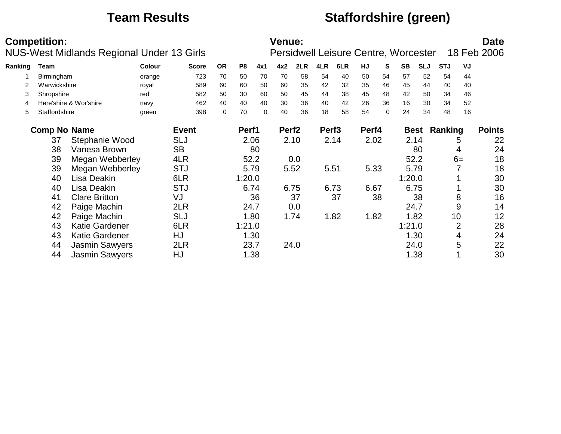## **Team Results Staffordshire (green)**

|         | <b>Competition:</b> | <b>NUS-West Midlands Regional Under 13 Girls</b> |        |              |           |                |      | <b>Venue:</b>     |      |                   |      | Persidwell Leisure Centre, Worcester |    |           |            |            |                | <b>Date</b><br>18 Feb 2006 |
|---------|---------------------|--------------------------------------------------|--------|--------------|-----------|----------------|------|-------------------|------|-------------------|------|--------------------------------------|----|-----------|------------|------------|----------------|----------------------------|
| Ranking | <b>Team</b>         |                                                  | Colour | <b>Score</b> | <b>OR</b> | P <sub>8</sub> | 4x1  | 4x2               | 2LR  | 4LR               | 6LR  | HJ                                   | S  | <b>SB</b> | <b>SLJ</b> | <b>STJ</b> | VJ             |                            |
|         | Birmingham          |                                                  | orange | 723          | 70        | 50             | 70   | 70                | 58   | 54                | 40   | 50                                   | 54 | 57        | 52         | 54         | 44             |                            |
|         | Warwickshire        |                                                  | royal  | 589          | 60        | 60             | 50   | 60                | 35   | 42                | 32   | 35                                   | 46 | 45        | 44         | 40         | 40             |                            |
| 3       | Shropshire          |                                                  | red    | 582          | 50        | 30             | 60   | 50                | 45   | 44                | 38   | 45                                   | 48 | 42        | 50         | 34         | 46             |                            |
| 4       |                     | Here'shire & Wor'shire                           | navy   | 462          | 40        | 40             | 40   | 30                | 36   | 40                | 42   | 26                                   | 36 | 16        | 30         | 34         | 52             |                            |
| 5       | Staffordshire       |                                                  | green  | 398          | 0         | 70             | 0    | 40                | 36   | 18                | 58   | 54                                   | 0  | 24        | 34         | 48         | 16             |                            |
|         | <b>Comp No Name</b> |                                                  |        | <b>Event</b> |           | Perf1          |      | Perf <sub>2</sub> |      | Perf <sub>3</sub> |      | Perf4                                |    |           | Best       | Ranking    |                | <b>Points</b>              |
|         | 37                  | Stephanie Wood                                   |        | <b>SLJ</b>   |           |                | 2.06 |                   | 2.10 |                   | 2.14 | 2.02                                 |    |           | 2.14       |            | 5              | 22                         |
|         | 38                  | Vanesa Brown                                     |        | <b>SB</b>    |           |                | 80   |                   |      |                   |      |                                      |    |           | 80         |            | 4              | 24                         |
|         | 39                  | Megan Webberley                                  |        | 4LR          |           | 52.2           |      |                   | 0.0  |                   |      |                                      |    |           | 52.2       |            | $6=$           | 18                         |
|         | 39                  | Megan Webberley                                  |        | <b>STJ</b>   |           | 5.79           |      |                   | 5.52 |                   | 5.51 | 5.33                                 |    |           | 5.79       |            |                | 18                         |
|         | 40                  | Lisa Deakin                                      |        | 6LR          |           | 1:20.0         |      |                   |      |                   |      |                                      |    | 1:20.0    |            |            |                | 30                         |
|         | 40                  | Lisa Deakin                                      |        | <b>STJ</b>   |           | 6.74           |      |                   | 6.75 |                   | 6.73 | 6.67                                 |    |           | 6.75       |            |                | 30                         |
|         | 41                  | <b>Clare Britton</b>                             |        | VJ           |           |                | 36   |                   | 37   |                   | 37   |                                      | 38 |           | 38         |            | 8              | 16                         |
|         | 42                  | Paige Machin                                     |        | 2LR          |           | 24.7           |      |                   | 0.0  |                   |      |                                      |    |           | 24.7       |            | 9              | 14                         |
|         | 42                  | Paige Machin                                     |        | <b>SLJ</b>   |           |                | 1.80 |                   | 1.74 |                   | 1.82 | 1.82                                 |    |           | 1.82       |            | 10             | 12                         |
|         | 43                  | <b>Katie Gardener</b>                            |        | 6LR          |           | 1:21.0         |      |                   |      |                   |      |                                      |    | 1:21.0    |            |            | $\overline{2}$ | 28                         |
|         | 43                  | <b>Katie Gardener</b>                            |        | HJ           |           |                | 1.30 |                   |      |                   |      |                                      |    |           | 1.30       |            | 4              | 24                         |
|         | 44                  | <b>Jasmin Sawyers</b>                            |        | 2LR          |           | 23.7           |      |                   | 24.0 |                   |      |                                      |    |           | 24.0       |            | 5              | 22                         |
|         | 44                  | <b>Jasmin Sawyers</b>                            |        | HJ           |           |                | 1.38 |                   |      |                   |      |                                      |    |           | 1.38       |            |                | 30                         |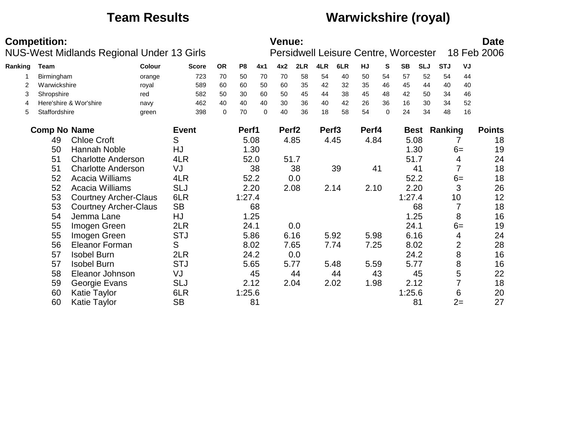## **Team Results Warwickshire (royal)**

|         | <b>Competition:</b> | NUS-West Midlands Regional Under 13 Girls |        |              |             |                |             | <b>Venue:</b>     |      |                   |      |       |          | Persidwell Leisure Centre, Worcester |            |                     |                | <b>Date</b><br>18 Feb 2006 |
|---------|---------------------|-------------------------------------------|--------|--------------|-------------|----------------|-------------|-------------------|------|-------------------|------|-------|----------|--------------------------------------|------------|---------------------|----------------|----------------------------|
|         |                     |                                           |        |              |             |                |             |                   |      |                   |      |       |          |                                      |            |                     |                |                            |
| Ranking | <b>Team</b>         |                                           | Colour | <b>Score</b> | <b>OR</b>   | P <sub>8</sub> | 4x1         | 4x2               | 2LR  | 4LR               | 6LR  | HJ    | S.       | <b>SB</b>                            | <b>SLJ</b> | <b>STJ</b>          | VJ             |                            |
|         | Birmingham          |                                           | orange | 723          | 70          | 50             | 70          | 70                | 58   | 54                | 40   | 50    | 54       | 57                                   | 52         | 54                  | 44             |                            |
| 2       | Warwickshire        |                                           | royal  | 589          | 60          | 60             | 50          | 60                | 35   | 42                | 32   | 35    | 46       | 45                                   | 44         | 40                  | 40             |                            |
| 3       | Shropshire          |                                           | red    | 582          | 50          | 30             | 60          | 50                | 45   | 44                | 38   | 45    | 48       | 42                                   | 50         | 34                  | 46             |                            |
| 4       |                     | Here'shire & Wor'shire                    | navy   | 462          | 40          | 40             | 40          | 30                | 36   | 40                | 42   | 26    | 36       | 16                                   | 30         | 34                  | 52             |                            |
| 5       | Staffordshire       |                                           | green  | 398          | $\mathbf 0$ | 70             | $\mathbf 0$ | 40                | 36   | 18                | 58   | 54    | $\Omega$ | 24                                   | 34         | 48                  | 16             |                            |
|         | <b>Comp No Name</b> |                                           |        | <b>Event</b> |             | Perf1          |             | Perf <sub>2</sub> |      | Perf <sub>3</sub> |      | Perf4 |          |                                      |            | <b>Best Ranking</b> |                | <b>Points</b>              |
|         | 49                  | <b>Chloe Croft</b>                        |        | S            |             |                | 5.08        |                   | 4.85 |                   | 4.45 | 4.84  |          |                                      | 5.08       |                     |                | 18                         |
|         | 50                  | Hannah Noble                              |        | HJ           |             |                | 1.30        |                   |      |                   |      |       |          |                                      | 1.30       |                     | $6=$           | 19                         |
|         | 51                  | <b>Charlotte Anderson</b>                 |        | 4LR          |             |                | 52.0        |                   | 51.7 |                   |      |       |          |                                      | 51.7       |                     | 4              | 24                         |
|         | 51                  | <b>Charlotte Anderson</b>                 |        | VJ           |             |                | 38          |                   | 38   |                   | 39   |       | 41       |                                      | 41         |                     | $\overline{7}$ | 18                         |
|         | 52                  | Acacia Williams                           |        | 4LR          |             |                | 52.2        |                   | 0.0  |                   |      |       |          |                                      | 52.2       |                     | $6=$           | 18                         |
|         | 52                  | Acacia Williams                           |        | <b>SLJ</b>   |             |                | 2.20        |                   | 2.08 |                   | 2.14 | 2.10  |          |                                      | 2.20       |                     | 3              | 26                         |
|         | 53                  | <b>Courtney Archer-Claus</b>              |        | 6LR          |             | 1:27.4         |             |                   |      |                   |      |       |          | 1:27.4                               |            |                     | 10             | 12                         |
|         | 53                  | <b>Courtney Archer-Claus</b>              |        | <b>SB</b>    |             |                | 68          |                   |      |                   |      |       |          |                                      | 68         |                     |                | 18                         |
|         | 54                  | Jemma Lane                                |        | HJ           |             |                | 1.25        |                   |      |                   |      |       |          |                                      | 1.25       |                     | 8              | 16                         |
|         | 55                  | Imogen Green                              |        | 2LR          |             | 24.1           |             |                   | 0.0  |                   |      |       |          |                                      | 24.1       |                     | $6=$           | 19                         |
|         | 55                  | Imogen Green                              |        | <b>STJ</b>   |             |                | 5.86        |                   | 6.16 |                   | 5.92 | 5.98  |          |                                      | 6.16       |                     | 4              | 24                         |
|         | 56                  | <b>Eleanor Forman</b>                     |        | S            |             |                | 8.02        |                   | 7.65 |                   | 7.74 | 7.25  |          |                                      | 8.02       |                     | $\overline{2}$ | 28                         |
|         | 57                  | <b>Isobel Burn</b>                        |        | 2LR          |             |                | 24.2        |                   | 0.0  |                   |      |       |          |                                      | 24.2       |                     | 8              | 16                         |
|         | 57                  | <b>Isobel Burn</b>                        |        | <b>STJ</b>   |             |                | 5.65        |                   | 5.77 |                   | 5.48 | 5.59  |          |                                      | 5.77       |                     | 8              | 16                         |
|         | 58                  | Eleanor Johnson                           |        | VJ           |             |                | 45          |                   | 44   |                   | 44   |       | 43       |                                      | 45         |                     | 5              | 22                         |
|         | 59                  | Georgie Evans                             |        | <b>SLJ</b>   |             |                | 2.12        |                   | 2.04 |                   | 2.02 | 1.98  |          |                                      | 2.12       |                     |                | 18                         |
|         | 60                  | Katie Taylor                              |        | 6LR          |             | 1:25.6         |             |                   |      |                   |      |       |          | 1:25.6                               |            |                     | 6              | 20                         |
|         | 60                  | Katie Taylor                              |        | <b>SB</b>    |             |                | 81          |                   |      |                   |      |       |          |                                      | 81         |                     | $2=$           | 27                         |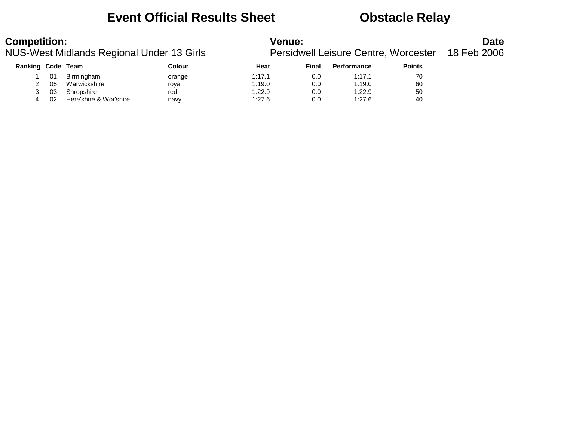## **Event Official Results Sheet Obstacle Relay**

| Ranking Code |    | Team                   | Colour | Heat   | Final | <b>Performance</b> | <b>Points</b> |
|--------------|----|------------------------|--------|--------|-------|--------------------|---------------|
|              | 01 | Birmingham             | orange | 1:17.1 | 0.0   | 1:17.1             | 70            |
|              | 05 | Warwickshire           | roval  | 1:19.0 | 0.0   | 1:19.0             | 60            |
|              | 03 | Shropshire             | red    | 1:22.9 | 0.0   | 1:22.9             | 50            |
|              | 02 | Here'shire & Wor'shire | navy   | 1:27.6 | 0.0   | 1:27.6             | 40            |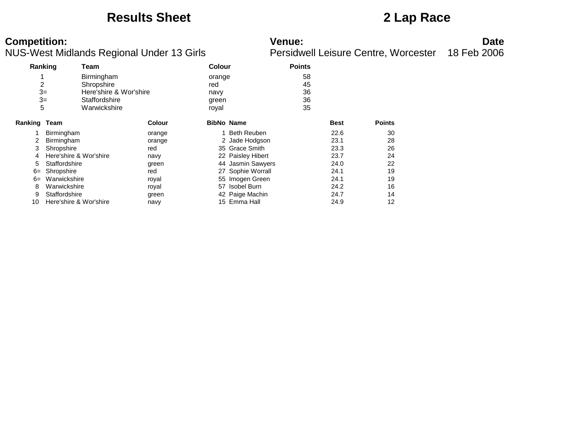## **Results Sheet 2 Lap Race**

| Ranking |                        | Team                   |               | <b>Colour</b>     |                    | <b>Points</b> |             |               |
|---------|------------------------|------------------------|---------------|-------------------|--------------------|---------------|-------------|---------------|
|         |                        | Birmingham             |               | orange            |                    | 58            |             |               |
| 2       |                        | Shropshire             |               | red               |                    | 45            |             |               |
| $3=$    |                        | Here'shire & Wor'shire |               | navy              |                    | 36            |             |               |
|         | $3=$                   | Staffordshire          |               | green             |                    | 36            |             |               |
| 5       |                        | Warwickshire           |               | royal             |                    | 35            |             |               |
| Ranking | Team                   |                        | <b>Colour</b> | <b>BibNo Name</b> |                    |               | <b>Best</b> | <b>Points</b> |
|         | Birmingham             |                        | orange        |                   | <b>Beth Reuben</b> |               | 22.6        | 30            |
| 2       | Birmingham             |                        | orange        |                   | 2 Jade Hodgson     |               | 23.1        | 28            |
| 3       | Shropshire             |                        | red           |                   | 35 Grace Smith     |               | 23.3        | 26            |
| 4       | Here'shire & Wor'shire |                        | navy          |                   | 22 Paisley Hibert  |               | 23.7        | 24            |
| 5       | Staffordshire          |                        | green         |                   | 44 Jasmin Sawyers  |               | 24.0        | 22            |
| $6=$    | Shropshire             |                        | red           |                   | 27 Sophie Worrall  |               | 24.1        | 19            |
| $6=$    | Warwickshire           |                        | royal         |                   | 55 Imogen Green    |               | 24.1        | 19            |
| 8       | Warwickshire           |                        | royal         |                   | 57 Isobel Burn     |               | 24.2        | 16            |
| 9       | Staffordshire          |                        | green         |                   | 42 Paige Machin    |               | 24.7        | 14            |
| 10      | Here'shire & Wor'shire |                        | navy          |                   | 15 Emma Hall       |               | 24.9        | 12            |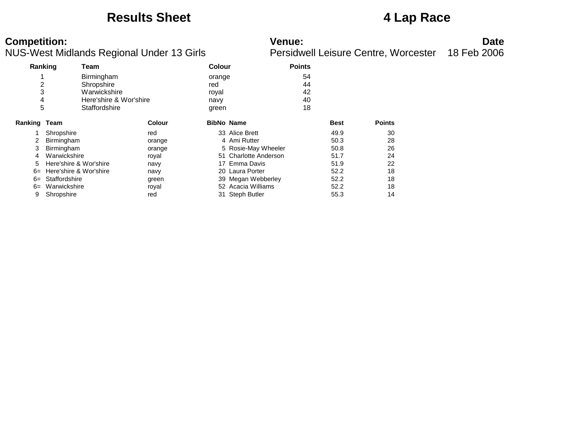### **Results Sheet 4 Lap Race**

| Ranking      |                        | Team                   |               | <b>Colour</b>     |                       | <b>Points</b> |             |               |
|--------------|------------------------|------------------------|---------------|-------------------|-----------------------|---------------|-------------|---------------|
|              |                        | Birmingham             |               | orange            |                       | 54            |             |               |
| 2            |                        | Shropshire             |               | red               |                       | 44            |             |               |
| 3            |                        | Warwickshire           |               | royal             |                       | 42            |             |               |
| 4            |                        | Here'shire & Wor'shire |               | navy              |                       | 40            |             |               |
| 5            |                        | Staffordshire          |               | green             |                       | 18            |             |               |
| Ranking Team |                        |                        | <b>Colour</b> | <b>BibNo Name</b> |                       |               | <b>Best</b> | <b>Points</b> |
|              | Shropshire             |                        | red           |                   | 33 Alice Brett        |               | 49.9        | 30            |
| 2            | Birmingham             |                        | orange        |                   | 4 Ami Rutter          |               | 50.3        | 28            |
| 3            | Birmingham             |                        | orange        |                   | 5 Rosie-May Wheeler   |               | 50.8        | 26            |
| 4            | Warwickshire           |                        | royal         |                   | 51 Charlotte Anderson |               | 51.7        | 24            |
| 5            | Here'shire & Wor'shire |                        | navy          | 17                | Emma Davis            |               | 51.9        | 22            |
| $6=$         | Here'shire & Wor'shire |                        | navy          |                   | 20 Laura Porter       |               | 52.2        | 18            |
| $6=$         | Staffordshire          |                        | green         |                   | 39 Megan Webberley    |               | 52.2        | 18            |
| $6=$         | Warwickshire           |                        | royal         |                   | 52 Acacia Williams    |               | 52.2        | 18            |
| 9            | Shropshire             |                        | red           |                   | 31 Steph Butler       |               | 55.3        | 14            |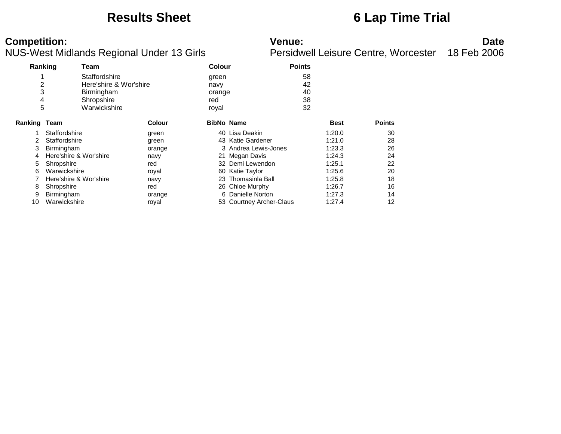## **Results Sheet 6 Lap Time Trial**

| Ranking        |                        | Team                   |               | Colour            |                          | <b>Points</b> |               |
|----------------|------------------------|------------------------|---------------|-------------------|--------------------------|---------------|---------------|
|                |                        | Staffordshire          |               | green             |                          | 58            |               |
| $\overline{c}$ |                        | Here'shire & Wor'shire |               | navy              |                          | 42            |               |
| 3              |                        | Birmingham             |               | orange            |                          | 40            |               |
| 4              |                        | Shropshire             |               | red               |                          | 38            |               |
| 5              |                        | Warwickshire           |               | royal             |                          | 32            |               |
| Ranking        | Team                   |                        | <b>Colour</b> | <b>BibNo Name</b> |                          | <b>Best</b>   | <b>Points</b> |
|                | Staffordshire          |                        | green         |                   | 40 Lisa Deakin           | 1:20.0        | 30            |
| 2              | Staffordshire          |                        | green         |                   | 43 Katie Gardener        | 1:21.0        | 28            |
| 3              | Birmingham             |                        | orange        |                   | 3 Andrea Lewis-Jones     | 1:23.3        | 26            |
| 4              | Here'shire & Wor'shire |                        | navy          |                   | 21 Megan Davis           | 1:24.3        | 24            |
| 5              | Shropshire             |                        | red           |                   | 32 Demi Lewendon         | 1:25.1        | 22            |
| 6              | Warwickshire           |                        | royal         |                   | 60 Katie Taylor          | 1:25.6        | 20            |
|                | Here'shire & Wor'shire |                        | navy          |                   | 23 Thomasinla Ball       | 1:25.8        | 18            |
| 8              | Shropshire             |                        | red           |                   | 26 Chloe Murphy          | 1:26.7        | 16            |
| 9              | Birmingham             |                        | orange        |                   | 6 Danielle Norton        | 1:27.3        | 14            |
| 10             | Warwickshire           |                        | roval         |                   | 53 Courtney Archer-Claus | 1:27.4        | 12            |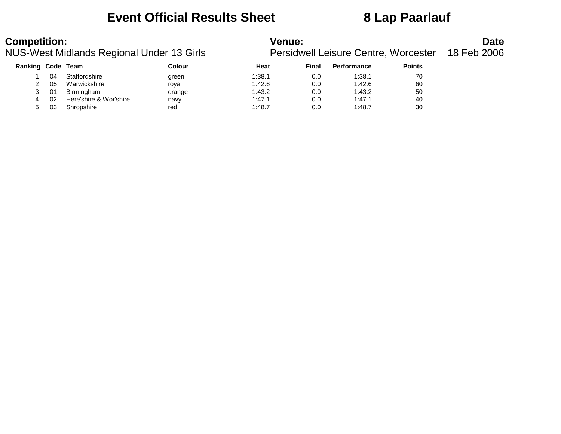## **Event Official Results Sheet 8 Lap Paarlauf**

| <b>Competition:</b>      |    |               | NUS-West Midlands Regional Under 13 Girls | Venue: |       | Persidwell Leisure Centre, Worcester |               | <b>Date</b><br>18 Feb 2006 |
|--------------------------|----|---------------|-------------------------------------------|--------|-------|--------------------------------------|---------------|----------------------------|
| <b>Ranking Code Team</b> |    |               | Colour                                    | Heat   | Final | Performance                          | <b>Points</b> |                            |
|                          | 04 | Staffordshire | green                                     | 1:38.1 | 0.0   | 1:38.1                               | 70            |                            |
|                          | 05 | Warwickshire  | royal                                     | 1:42.6 | 0.0   | 1:42.6                               | 60            |                            |

| 3 01 | Birmingham                  | orange | 1:43.2 | 0.0 | 1:43.2 | 50 |
|------|-----------------------------|--------|--------|-----|--------|----|
|      | 4 02 Here'shire & Wor'shire | navv   | 1:47.1 | 0.C | 1:47.1 | 40 |
| 03   | Shropshire                  | red    | 1:48.7 | 0.C | 1:48.7 | 30 |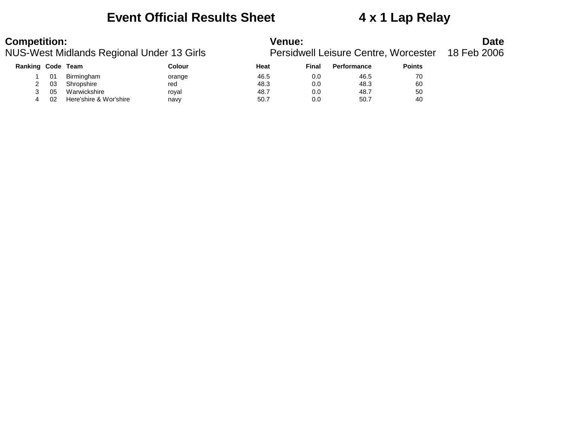### **Event Official Results Sheet 4 x 1 Lap Relay**

| <b>Ranking Code</b> |    | Team                   | Colour | Heat | Final | <b>Performance</b> | <b>Points</b> |
|---------------------|----|------------------------|--------|------|-------|--------------------|---------------|
|                     | 01 | Birmingham             | orange | 46.5 | 0.0   | 46.5               | 70            |
|                     | 03 | Shropshire             | red    | 48.3 | 0.0   | 48.3               | 60            |
|                     | 05 | Warwickshire           | royal  | 48.7 | 0.0   | 48.7               | 50            |
|                     | 02 | Here'shire & Wor'shire | navv   | 50.7 | 0.0   | 50.7               | 40            |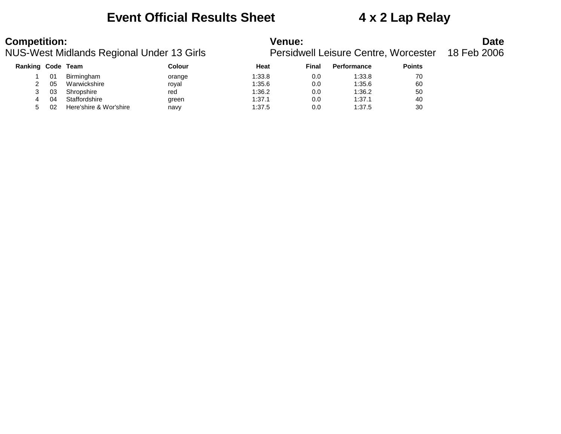### **Event Official Results Sheet 4 x 2 Lap Relay**

| <b>Ranking Code</b> |    | Team                   | Colour | Heat   | Final | <b>Performance</b> | <b>Points</b> |
|---------------------|----|------------------------|--------|--------|-------|--------------------|---------------|
|                     | 01 | Birmingham             | orange | 1:33.8 | 0.0   | 1:33.8             | 70            |
|                     | 05 | Warwickshire           | royal  | 1:35.6 | 0.0   | 1:35.6             | 60            |
|                     | 03 | Shropshire             | red    | 1:36.2 | 0.0   | 1:36.2             | 50            |
| 4                   | 04 | Staffordshire          | green  | 1:37.1 | 0.0   | 1:37.1             | 40            |
|                     | 02 | Here'shire & Wor'shire | navy   | 1:37.5 | 0.0   | 1:37.5             | 30            |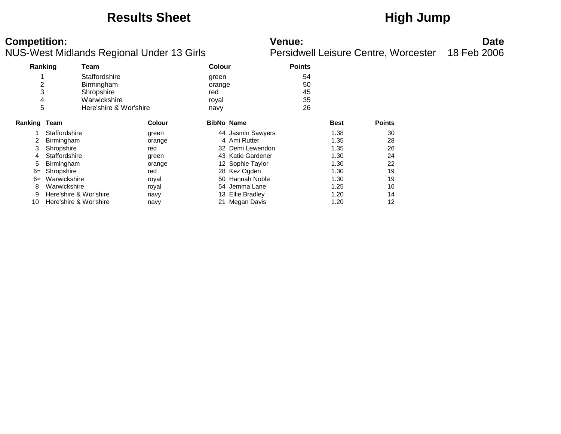## **Results Sheet High Jump**

| Ranking        |                        | Team                   |               | <b>Colour</b>     |                      | <b>Points</b> |             |               |
|----------------|------------------------|------------------------|---------------|-------------------|----------------------|---------------|-------------|---------------|
|                |                        | Staffordshire          |               | green             |                      | 54            |             |               |
| $\overline{2}$ |                        | Birmingham             |               | orange            |                      | 50            |             |               |
| 3              |                        | Shropshire             |               | red               |                      | 45            |             |               |
| 4              |                        | Warwickshire           |               | royal             |                      | 35            |             |               |
| 5              |                        | Here'shire & Wor'shire |               | navy              |                      | 26            |             |               |
| Ranking        | Team                   |                        | <b>Colour</b> | <b>BibNo Name</b> |                      |               | <b>Best</b> | <b>Points</b> |
|                | Staffordshire          |                        | green         |                   | 44 Jasmin Sawyers    |               | 1.38        | 30            |
| 2              | Birmingham             |                        | orange        |                   | 4 Ami Rutter         |               | 1.35        | 28            |
| 3              | Shropshire             |                        | red           |                   | 32 Demi Lewendon     |               | 1.35        | 26            |
| 4              | Staffordshire          |                        | green         |                   | 43 Katie Gardener    |               | 1.30        | 24            |
| 5              | Birmingham             |                        | orange        |                   | 12 Sophie Taylor     |               | 1.30        | 22            |
| $6=$           | Shropshire             |                        | red           |                   | 28 Kez Ogden         |               | 1.30        | 19            |
| $6=$           | Warwickshire           |                        | royal         |                   | 50 Hannah Noble      |               | 1.30        | 19            |
| 8              | Warwickshire           |                        | royal         |                   | 54 Jemma Lane        |               | 1.25        | 16            |
| 9              | Here'shire & Wor'shire |                        | navy          | 13.               | <b>Ellie Bradley</b> |               | 1.20        | 14            |
| 10             | Here'shire & Wor'shire |                        | navy          |                   | 21 Megan Davis       |               | 1.20        | 12            |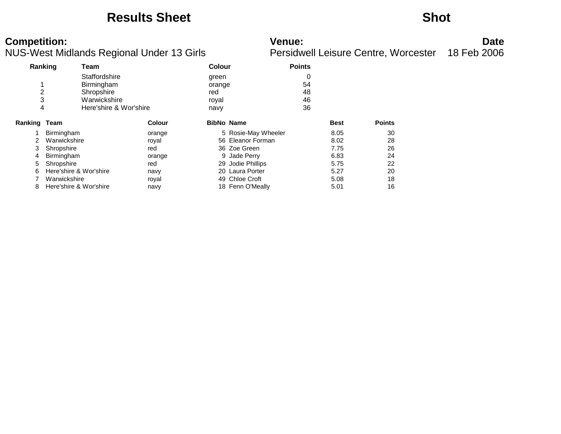### **Results Sheet Shot**

| Ranking             |                        | Team                   |               | Colour            |                     | <b>Points</b> |             |               |
|---------------------|------------------------|------------------------|---------------|-------------------|---------------------|---------------|-------------|---------------|
|                     |                        | Staffordshire          |               | green             |                     | 0             |             |               |
|                     |                        | Birmingham             |               | orange            |                     | 54            |             |               |
| 2                   |                        | Shropshire             |               | red               |                     | 48            |             |               |
| 3                   |                        | Warwickshire           |               | royal             |                     | 46            |             |               |
| 4                   |                        | Here'shire & Wor'shire |               | navy              |                     | 36            |             |               |
| <b>Ranking Team</b> |                        |                        | <b>Colour</b> | <b>BibNo Name</b> |                     |               | <b>Best</b> | <b>Points</b> |
|                     | Birmingham             |                        | orange        |                   | 5 Rosie-May Wheeler |               | 8.05        | 30            |
| 2                   | Warwickshire           |                        | royal         |                   | 56 Eleanor Forman   |               | 8.02        | 28            |
| 3                   | Shropshire             |                        | red           |                   | 36 Zoe Green        |               | 7.75        | 26            |
| 4                   | Birmingham             |                        | orange        |                   | 9 Jade Perry        |               | 6.83        | 24            |
| 5                   | Shropshire             |                        | red           | 29.               | Jodie Phillips      |               | 5.75        | 22            |
| 6                   |                        | Here'shire & Wor'shire | navy          | 20                | Laura Porter        |               | 5.27        | 20            |
|                     | Warwickshire           |                        | royal         | 49                | Chloe Croft         |               | 5.08        | 18            |
| 8                   | Here'shire & Wor'shire |                        | navy          |                   | 18 Fenn O'Meally    |               | 5.01        | 16            |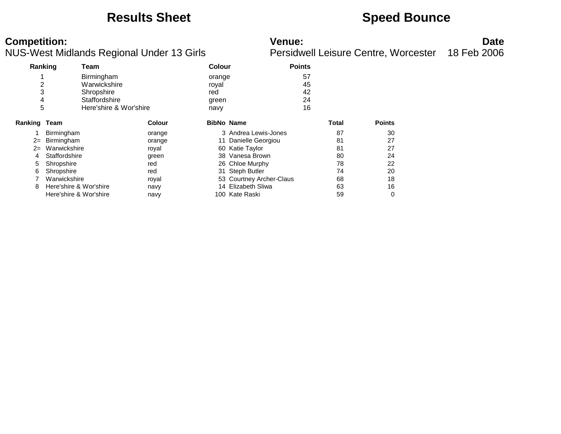## **Results Sheet <b>Speed Bounce Speed Bounce**

|              | ັ             |                                                                                                                               |                        |              |                                                                                                                                                                                                                            |               |               |  |
|--------------|---------------|-------------------------------------------------------------------------------------------------------------------------------|------------------------|--------------|----------------------------------------------------------------------------------------------------------------------------------------------------------------------------------------------------------------------------|---------------|---------------|--|
| Ranking      | Team          |                                                                                                                               |                        |              |                                                                                                                                                                                                                            |               |               |  |
|              | Birmingham    |                                                                                                                               |                        |              | 57                                                                                                                                                                                                                         |               |               |  |
| 2            | Warwickshire  |                                                                                                                               | royal                  |              | 45                                                                                                                                                                                                                         |               |               |  |
| 3            | Shropshire    |                                                                                                                               | red                    |              | 42                                                                                                                                                                                                                         |               |               |  |
| 4            | Staffordshire |                                                                                                                               | green                  |              | 24                                                                                                                                                                                                                         |               |               |  |
| 5            |               |                                                                                                                               | navy                   |              | 16                                                                                                                                                                                                                         |               |               |  |
| Ranking Team |               | <b>Colour</b>                                                                                                                 |                        |              |                                                                                                                                                                                                                            |               | <b>Points</b> |  |
|              |               | orange                                                                                                                        |                        |              |                                                                                                                                                                                                                            | 87            | 30            |  |
|              |               | orange                                                                                                                        |                        |              |                                                                                                                                                                                                                            | 81            | 27            |  |
| $2=$         |               | royal                                                                                                                         | 60                     |              |                                                                                                                                                                                                                            | 81            | 27            |  |
|              |               | green                                                                                                                         | 38                     | Vanesa Brown |                                                                                                                                                                                                                            | 80            | 24            |  |
| Shropshire   |               | red                                                                                                                           |                        |              |                                                                                                                                                                                                                            | 78            | 22            |  |
| Shropshire   |               | red                                                                                                                           | 31                     |              |                                                                                                                                                                                                                            | 74            | 20            |  |
|              |               | royal                                                                                                                         |                        |              |                                                                                                                                                                                                                            | 68            | 18            |  |
|              |               | navy                                                                                                                          |                        |              |                                                                                                                                                                                                                            | 63            | 16            |  |
|              |               | navy                                                                                                                          |                        |              |                                                                                                                                                                                                                            | 59            | 0             |  |
|              |               | Birmingham<br>Birmingham<br>Warwickshire<br>Staffordshire<br>Warwickshire<br>Here'shire & Wor'shire<br>Here'shire & Wor'shire | Here'shire & Wor'shire |              | <b>Colour</b><br>orange<br><b>BibNo Name</b><br>3 Andrea Lewis-Jones<br>11 Danielle Georgiou<br>Katie Taylor<br>26 Chloe Murphy<br><b>Steph Butler</b><br>53 Courtney Archer-Claus<br>14 Elizabeth Sliwa<br>100 Kate Raski | <b>Points</b> | Total         |  |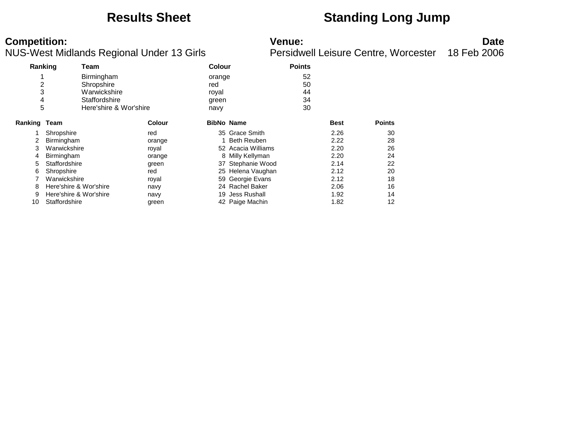## **Results Sheet Standing Long Jump**

| Ranking |                        | Team                   |               |                   | <b>Colour</b>       |    |             |               |
|---------|------------------------|------------------------|---------------|-------------------|---------------------|----|-------------|---------------|
|         |                        | Birmingham             |               | orange            |                     | 52 |             |               |
| 2       |                        | Shropshire             |               | red               |                     | 50 |             |               |
| 3       |                        | Warwickshire           |               | royal             |                     | 44 |             |               |
| 4       |                        | Staffordshire          |               | green             |                     | 34 |             |               |
| 5       |                        | Here'shire & Wor'shire |               | navy              |                     | 30 |             |               |
| Ranking | Team                   |                        | <b>Colour</b> | <b>BibNo Name</b> |                     |    | <b>Best</b> | <b>Points</b> |
|         | Shropshire             |                        | red           |                   | 35 Grace Smith      |    | 2.26        | 30            |
|         | Birmingham             |                        | orange        |                   | <b>Beth Reuben</b>  |    | 2.22        | 28            |
| 3       | Warwickshire           |                        | royal         |                   | 52 Acacia Williams  |    | 2.20        | 26            |
| 4       | <b>Birmingham</b>      |                        | orange        |                   | 8 Milly Kellyman    |    | 2.20        | 24            |
| 5       | Staffordshire          |                        | green         |                   | 37 Stephanie Wood   |    | 2.14        | 22            |
| 6       | Shropshire             |                        | red           |                   | 25 Helena Vaughan   |    | 2.12        | 20            |
|         | Warwickshire           |                        | royal         |                   | 59 Georgie Evans    |    | 2.12        | 18            |
| 8       | Here'shire & Wor'shire |                        | navy          |                   | 24 Rachel Baker     |    | 2.06        | 16            |
| 9       | Here'shire & Wor'shire |                        | navy          | 19                | <b>Jess Rushall</b> |    | 1.92        | 14            |
| 10      | Staffordshire          |                        | green         |                   | 42 Paige Machin     |    | 1.82        | 12            |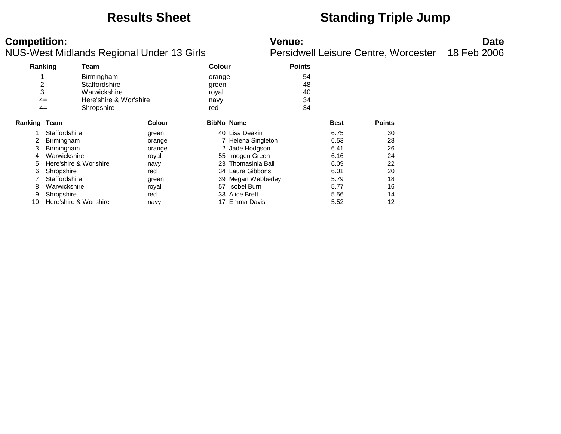## **Results Sheet Standing Triple Jump**

| Ranking        |                        | Team                   |               |                   | <b>Colour</b>      |    |             |               |
|----------------|------------------------|------------------------|---------------|-------------------|--------------------|----|-------------|---------------|
|                |                        | Birmingham             |               | orange            |                    | 54 |             |               |
| $\overline{c}$ |                        | Staffordshire          |               | green             |                    | 48 |             |               |
| 3              |                        | Warwickshire           |               | royal             |                    | 40 |             |               |
|                | $4=$                   | Here'shire & Wor'shire |               | navy              |                    | 34 |             |               |
|                | $4=$                   | Shropshire             |               | red               |                    | 34 |             |               |
| Ranking        | Team                   |                        | <b>Colour</b> | <b>BibNo Name</b> |                    |    | <b>Best</b> | <b>Points</b> |
|                | Staffordshire          |                        | green         |                   | 40 Lisa Deakin     |    | 6.75        | 30            |
| 2              | Birmingham             |                        | orange        |                   | 7 Helena Singleton |    | 6.53        | 28            |
| 3              | Birmingham             |                        | orange        |                   | 2 Jade Hodgson     |    | 6.41        | 26            |
| 4              | Warwickshire           |                        | royal         |                   | 55 Imogen Green    |    | 6.16        | 24            |
| 5              | Here'shire & Wor'shire |                        | navy          |                   | 23 Thomasinla Ball |    | 6.09        | 22            |
| 6              | Shropshire             |                        | red           |                   | 34 Laura Gibbons   |    | 6.01        | 20            |
|                | Staffordshire          |                        | green         |                   | 39 Megan Webberley |    | 5.79        | 18            |
| 8              | Warwickshire           |                        | royal         | 57                | Isobel Burn        |    | 5.77        | 16            |
| 9              | Shropshire             |                        | red           |                   | 33 Alice Brett     |    | 5.56        | 14            |
| 10             | Here'shire & Wor'shire |                        | navy          |                   | 17 Emma Davis      |    | 5.52        | 12            |